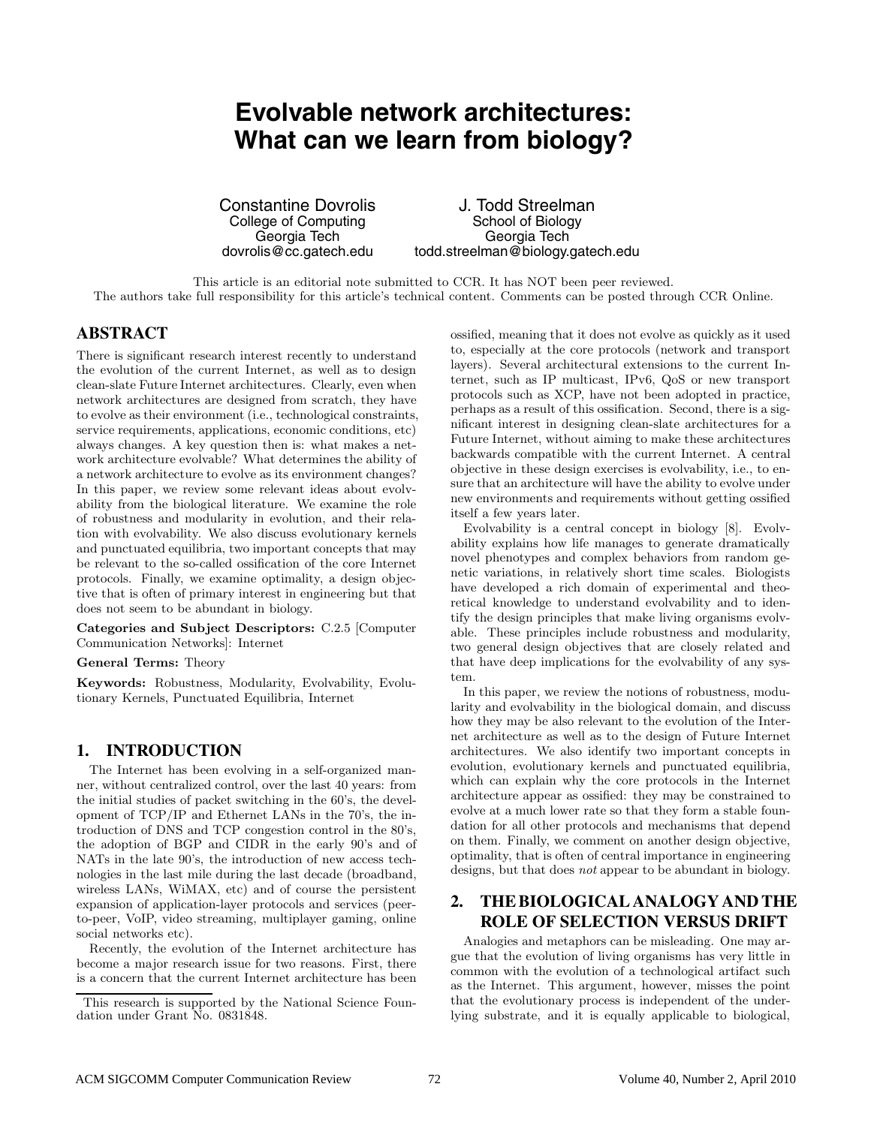# **Evolvable network architectures: What can we learn from biology?**

Georgia Tech<br>dovrolis@cc.gatech.edu

Constantine Dovrolis J. Todd Streelman<br>College of Computing School of Biology College of Computing Tech School of Biology<br>Georgia Tech Georgia Tech todd.streelman@biology.gatech.edu

This article is an editorial note submitted to CCR. It has NOT been peer reviewed. The authors take full responsibility for this article's technical content. Comments can be posted through CCR Online.

# **ABSTRACT**

There is significant research interest recently to understand the evolution of the current Internet, as well as to design clean-slate Future Internet architectures. Clearly, even when network architectures are designed from scratch, they have to evolve as their environment (i.e., technological constraints, service requirements, applications, economic conditions, etc) always changes. A key question then is: what makes a network architecture evolvable? What determines the ability of a network architecture to evolve as its environment changes? In this paper, we review some relevant ideas about evolvability from the biological literature. We examine the role of robustness and modularity in evolution, and their relation with evolvability. We also discuss evolutionary kernels and punctuated equilibria, two important concepts that may be relevant to the so-called ossification of the core Internet protocols. Finally, we examine optimality, a design objective that is often of primary interest in engineering but that does not seem to be abundant in biology.

**Categories and Subject Descriptors:** C.2.5 [Computer Communication Networks]: Internet

**General Terms:** Theory

**Keywords:** Robustness, Modularity, Evolvability, Evolutionary Kernels, Punctuated Equilibria, Internet

# **1. INTRODUCTION**

The Internet has been evolving in a self-organized manner, without centralized control, over the last 40 years: from the initial studies of packet switching in the 60's, the development of TCP/IP and Ethernet LANs in the 70's, the introduction of DNS and TCP congestion control in the 80's, the adoption of BGP and CIDR in the early 90's and of NATs in the late 90's, the introduction of new access technologies in the last mile during the last decade (broadband, wireless LANs, WiMAX, etc) and of course the persistent expansion of application-layer protocols and services (peerto-peer, VoIP, video streaming, multiplayer gaming, online social networks etc).

Recently, the evolution of the Internet architecture has become a major research issue for two reasons. First, there is a concern that the current Internet architecture has been

ossified, meaning that it does not evolve as quickly as it used to, especially at the core protocols (network and transport layers). Several architectural extensions to the current Internet, such as IP multicast, IPv6, QoS or new transport protocols such as XCP, have not been adopted in practice, perhaps as a result of this ossification. Second, there is a significant interest in designing clean-slate architectures for a Future Internet, without aiming to make these architectures backwards compatible with the current Internet. A central objective in these design exercises is evolvability, i.e., to ensure that an architecture will have the ability to evolve under new environments and requirements without getting ossified itself a few years later.

Evolvability is a central concept in biology [8]. Evolvability explains how life manages to generate dramatically novel phenotypes and complex behaviors from random genetic variations, in relatively short time scales. Biologists have developed a rich domain of experimental and theoretical knowledge to understand evolvability and to identify the design principles that make living organisms evolvable. These principles include robustness and modularity, two general design objectives that are closely related and that have deep implications for the evolvability of any system.

In this paper, we review the notions of robustness, modularity and evolvability in the biological domain, and discuss how they may be also relevant to the evolution of the Internet architecture as well as to the design of Future Internet architectures. We also identify two important concepts in evolution, evolutionary kernels and punctuated equilibria, which can explain why the core protocols in the Internet architecture appear as ossified: they may be constrained to evolve at a much lower rate so that they form a stable foundation for all other protocols and mechanisms that depend on them. Finally, we comment on another design objective, optimality, that is often of central importance in engineering designs, but that does not appear to be abundant in biology.

# **2. THE BIOLOGICAL ANALOGY AND THE ROLE OF SELECTION VERSUS DRIFT**

Analogies and metaphors can be misleading. One may argue that the evolution of living organisms has very little in common with the evolution of a technological artifact such as the Internet. This argument, however, misses the point that the evolutionary process is independent of the underlying substrate, and it is equally applicable to biological,

This research is supported by the National Science Foundation under Grant No. 0831848.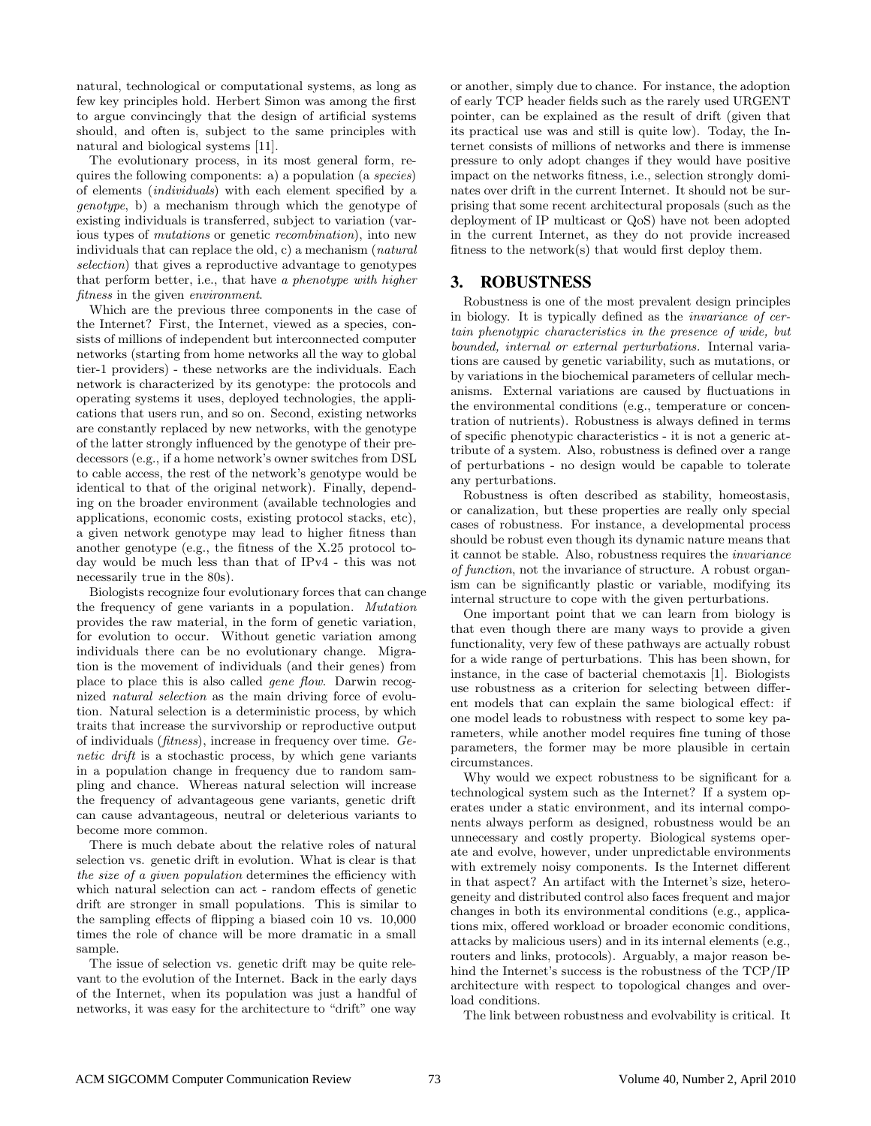natural, technological or computational systems, as long as few key principles hold. Herbert Simon was among the first to argue convincingly that the design of artificial systems should, and often is, subject to the same principles with natural and biological systems [11].

The evolutionary process, in its most general form, requires the following components: a) a population (a species) of elements (individuals) with each element specified by a genotype, b) a mechanism through which the genotype of existing individuals is transferred, subject to variation (various types of mutations or genetic recombination), into new individuals that can replace the old, c) a mechanism (natural selection) that gives a reproductive advantage to genotypes that perform better, i.e., that have a phenotype with higher fitness in the given environment.

Which are the previous three components in the case of the Internet? First, the Internet, viewed as a species, consists of millions of independent but interconnected computer networks (starting from home networks all the way to global tier-1 providers) - these networks are the individuals. Each network is characterized by its genotype: the protocols and operating systems it uses, deployed technologies, the applications that users run, and so on. Second, existing networks are constantly replaced by new networks, with the genotype of the latter strongly influenced by the genotype of their predecessors (e.g., if a home network's owner switches from DSL to cable access, the rest of the network's genotype would be identical to that of the original network). Finally, depending on the broader environment (available technologies and applications, economic costs, existing protocol stacks, etc), a given network genotype may lead to higher fitness than another genotype (e.g., the fitness of the X.25 protocol today would be much less than that of IPv4 - this was not necessarily true in the 80s).

Biologists recognize four evolutionary forces that can change the frequency of gene variants in a population. Mutation provides the raw material, in the form of genetic variation, for evolution to occur. Without genetic variation among individuals there can be no evolutionary change. Migration is the movement of individuals (and their genes) from place to place this is also called gene flow. Darwin recognized natural selection as the main driving force of evolution. Natural selection is a deterministic process, by which traits that increase the survivorship or reproductive output of individuals (fitness), increase in frequency over time. Genetic drift is a stochastic process, by which gene variants in a population change in frequency due to random sampling and chance. Whereas natural selection will increase the frequency of advantageous gene variants, genetic drift can cause advantageous, neutral or deleterious variants to become more common.

There is much debate about the relative roles of natural selection vs. genetic drift in evolution. What is clear is that the size of a given population determines the efficiency with which natural selection can act - random effects of genetic drift are stronger in small populations. This is similar to the sampling effects of flipping a biased coin 10 vs. 10,000 times the role of chance will be more dramatic in a small sample.

The issue of selection vs. genetic drift may be quite relevant to the evolution of the Internet. Back in the early days of the Internet, when its population was just a handful of networks, it was easy for the architecture to "drift" one way

or another, simply due to chance. For instance, the adoption of early TCP header fields such as the rarely used URGENT pointer, can be explained as the result of drift (given that its practical use was and still is quite low). Today, the Internet consists of millions of networks and there is immense pressure to only adopt changes if they would have positive impact on the networks fitness, i.e., selection strongly dominates over drift in the current Internet. It should not be surprising that some recent architectural proposals (such as the deployment of IP multicast or QoS) have not been adopted in the current Internet, as they do not provide increased fitness to the network(s) that would first deploy them.

# **3. ROBUSTNESS**

Robustness is one of the most prevalent design principles in biology. It is typically defined as the invariance of certain phenotypic characteristics in the presence of wide, but bounded, internal or external perturbations. Internal variations are caused by genetic variability, such as mutations, or by variations in the biochemical parameters of cellular mechanisms. External variations are caused by fluctuations in the environmental conditions (e.g., temperature or concentration of nutrients). Robustness is always defined in terms of specific phenotypic characteristics - it is not a generic attribute of a system. Also, robustness is defined over a range of perturbations - no design would be capable to tolerate any perturbations.

Robustness is often described as stability, homeostasis, or canalization, but these properties are really only special cases of robustness. For instance, a developmental process should be robust even though its dynamic nature means that it cannot be stable. Also, robustness requires the invariance of function, not the invariance of structure. A robust organism can be significantly plastic or variable, modifying its internal structure to cope with the given perturbations.

One important point that we can learn from biology is that even though there are many ways to provide a given functionality, very few of these pathways are actually robust for a wide range of perturbations. This has been shown, for instance, in the case of bacterial chemotaxis [1]. Biologists use robustness as a criterion for selecting between different models that can explain the same biological effect: if one model leads to robustness with respect to some key parameters, while another model requires fine tuning of those parameters, the former may be more plausible in certain circumstances.

Why would we expect robustness to be significant for a technological system such as the Internet? If a system operates under a static environment, and its internal components always perform as designed, robustness would be an unnecessary and costly property. Biological systems operate and evolve, however, under unpredictable environments with extremely noisy components. Is the Internet different in that aspect? An artifact with the Internet's size, heterogeneity and distributed control also faces frequent and major changes in both its environmental conditions (e.g., applications mix, offered workload or broader economic conditions, attacks by malicious users) and in its internal elements (e.g., routers and links, protocols). Arguably, a major reason behind the Internet's success is the robustness of the TCP/IP architecture with respect to topological changes and overload conditions.

The link between robustness and evolvability is critical. It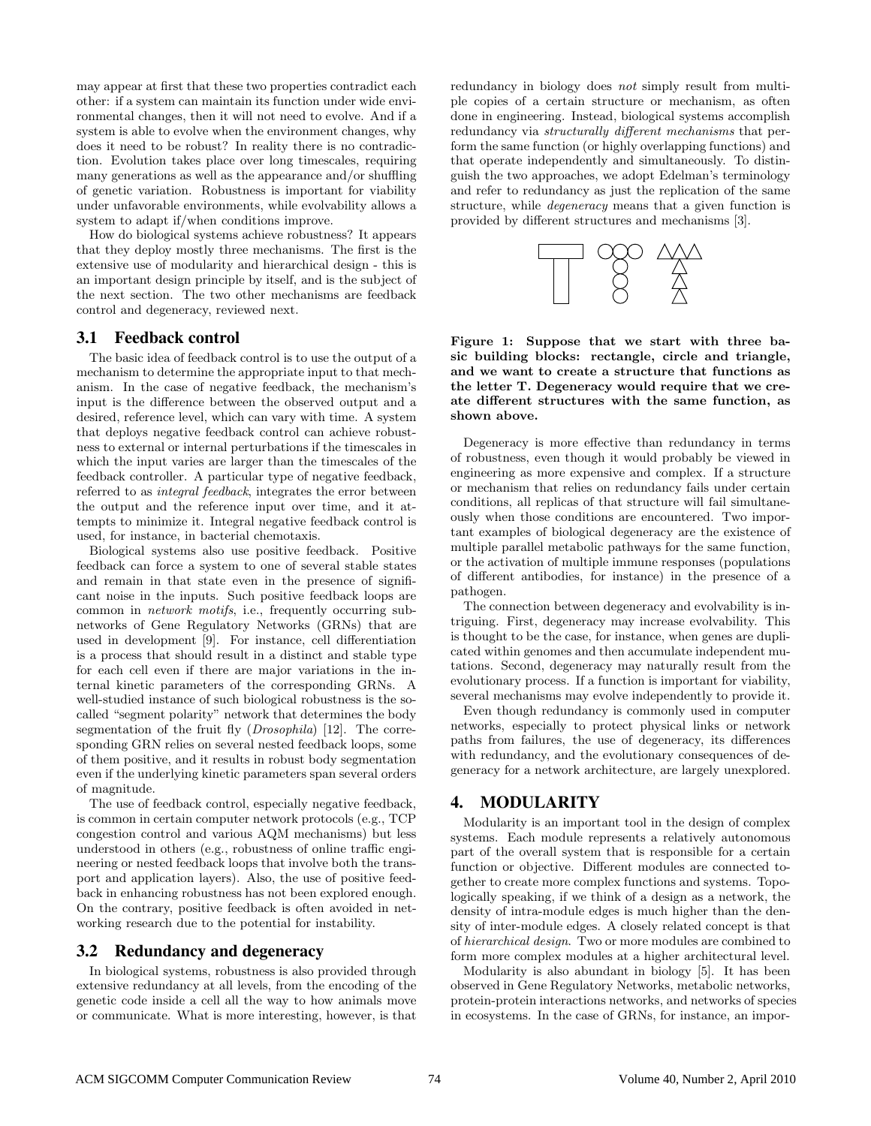may appear at first that these two properties contradict each other: if a system can maintain its function under wide environmental changes, then it will not need to evolve. And if a system is able to evolve when the environment changes, why does it need to be robust? In reality there is no contradiction. Evolution takes place over long timescales, requiring many generations as well as the appearance and/or shuffling of genetic variation. Robustness is important for viability under unfavorable environments, while evolvability allows a system to adapt if/when conditions improve.

How do biological systems achieve robustness? It appears that they deploy mostly three mechanisms. The first is the extensive use of modularity and hierarchical design - this is an important design principle by itself, and is the subject of the next section. The two other mechanisms are feedback control and degeneracy, reviewed next.

#### **3.1 Feedback control**

The basic idea of feedback control is to use the output of a mechanism to determine the appropriate input to that mechanism. In the case of negative feedback, the mechanism's input is the difference between the observed output and a desired, reference level, which can vary with time. A system that deploys negative feedback control can achieve robustness to external or internal perturbations if the timescales in which the input varies are larger than the timescales of the feedback controller. A particular type of negative feedback, referred to as integral feedback, integrates the error between the output and the reference input over time, and it attempts to minimize it. Integral negative feedback control is used, for instance, in bacterial chemotaxis.

Biological systems also use positive feedback. Positive feedback can force a system to one of several stable states and remain in that state even in the presence of significant noise in the inputs. Such positive feedback loops are common in network motifs, i.e., frequently occurring subnetworks of Gene Regulatory Networks (GRNs) that are used in development [9]. For instance, cell differentiation is a process that should result in a distinct and stable type for each cell even if there are major variations in the internal kinetic parameters of the corresponding GRNs. A well-studied instance of such biological robustness is the socalled "segment polarity" network that determines the body segmentation of the fruit fly (Drosophila) [12]. The corresponding GRN relies on several nested feedback loops, some of them positive, and it results in robust body segmentation even if the underlying kinetic parameters span several orders of magnitude.

The use of feedback control, especially negative feedback, is common in certain computer network protocols (e.g., TCP congestion control and various AQM mechanisms) but less understood in others (e.g., robustness of online traffic engineering or nested feedback loops that involve both the transport and application layers). Also, the use of positive feedback in enhancing robustness has not been explored enough. On the contrary, positive feedback is often avoided in networking research due to the potential for instability.

#### **3.2 Redundancy and degeneracy**

In biological systems, robustness is also provided through extensive redundancy at all levels, from the encoding of the genetic code inside a cell all the way to how animals move or communicate. What is more interesting, however, is that

redundancy in biology does *not* simply result from multiple copies of a certain structure or mechanism, as often done in engineering. Instead, biological systems accomplish redundancy via structurally different mechanisms that perform the same function (or highly overlapping functions) and that operate independently and simultaneously. To distinguish the two approaches, we adopt Edelman's terminology and refer to redundancy as just the replication of the same structure, while degeneracy means that a given function is provided by different structures and mechanisms [3].



**Figure 1: Suppose that we start with three basic building blocks: rectangle, circle and triangle, and we want to create a structure that functions as the letter T. Degeneracy would require that we create different structures with the same function, as shown above.**

Degeneracy is more effective than redundancy in terms of robustness, even though it would probably be viewed in engineering as more expensive and complex. If a structure or mechanism that relies on redundancy fails under certain conditions, all replicas of that structure will fail simultaneously when those conditions are encountered. Two important examples of biological degeneracy are the existence of multiple parallel metabolic pathways for the same function, or the activation of multiple immune responses (populations of different antibodies, for instance) in the presence of a pathogen.

The connection between degeneracy and evolvability is intriguing. First, degeneracy may increase evolvability. This is thought to be the case, for instance, when genes are duplicated within genomes and then accumulate independent mutations. Second, degeneracy may naturally result from the evolutionary process. If a function is important for viability, several mechanisms may evolve independently to provide it.

Even though redundancy is commonly used in computer networks, especially to protect physical links or network paths from failures, the use of degeneracy, its differences with redundancy, and the evolutionary consequences of degeneracy for a network architecture, are largely unexplored.

#### **4. MODULARITY**

Modularity is an important tool in the design of complex systems. Each module represents a relatively autonomous part of the overall system that is responsible for a certain function or objective. Different modules are connected together to create more complex functions and systems. Topologically speaking, if we think of a design as a network, the density of intra-module edges is much higher than the density of inter-module edges. A closely related concept is that of hierarchical design. Two or more modules are combined to form more complex modules at a higher architectural level.

Modularity is also abundant in biology [5]. It has been observed in Gene Regulatory Networks, metabolic networks, protein-protein interactions networks, and networks of species in ecosystems. In the case of GRNs, for instance, an impor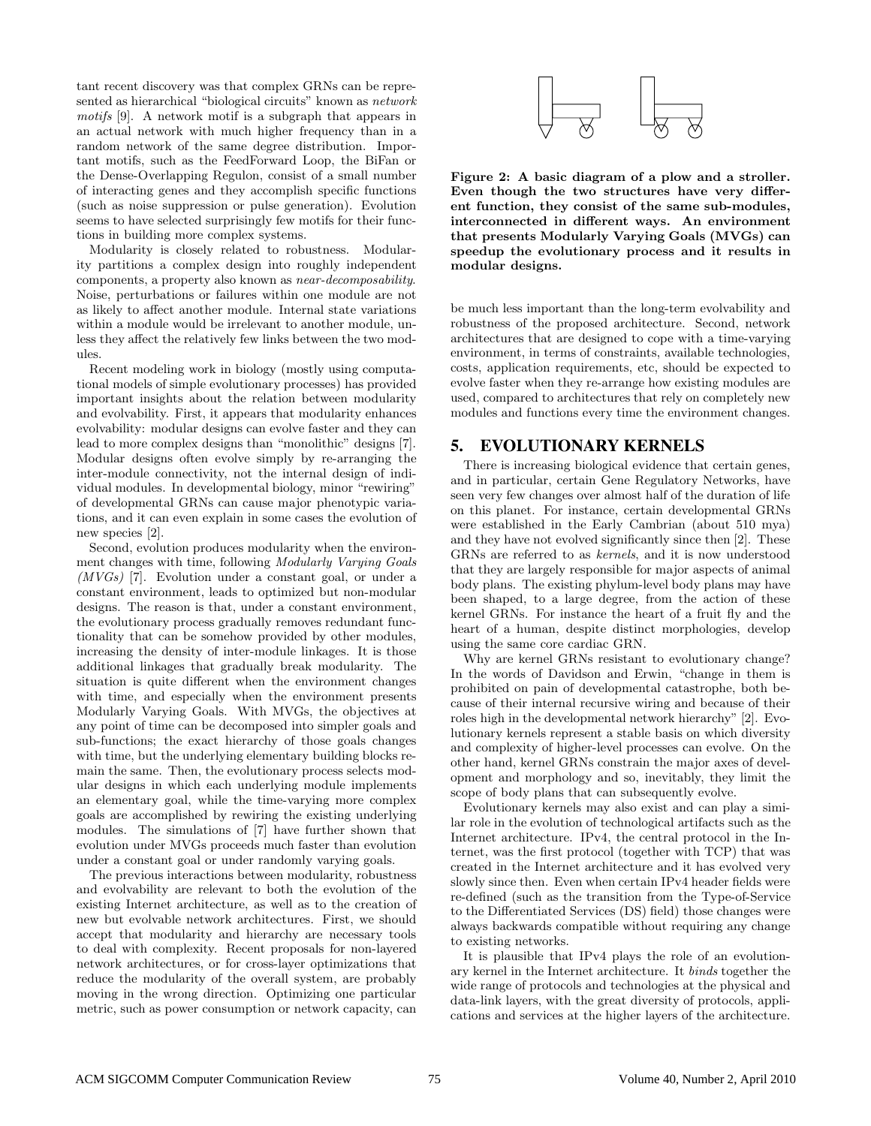tant recent discovery was that complex GRNs can be represented as hierarchical "biological circuits" known as network motifs [9]. A network motif is a subgraph that appears in an actual network with much higher frequency than in a random network of the same degree distribution. Important motifs, such as the FeedForward Loop, the BiFan or the Dense-Overlapping Regulon, consist of a small number of interacting genes and they accomplish specific functions (such as noise suppression or pulse generation). Evolution seems to have selected surprisingly few motifs for their functions in building more complex systems.

Modularity is closely related to robustness. Modularity partitions a complex design into roughly independent components, a property also known as near-decomposability. Noise, perturbations or failures within one module are not as likely to affect another module. Internal state variations within a module would be irrelevant to another module, unless they affect the relatively few links between the two modules.

Recent modeling work in biology (mostly using computational models of simple evolutionary processes) has provided important insights about the relation between modularity and evolvability. First, it appears that modularity enhances evolvability: modular designs can evolve faster and they can lead to more complex designs than "monolithic" designs [7]. Modular designs often evolve simply by re-arranging the inter-module connectivity, not the internal design of individual modules. In developmental biology, minor "rewiring" of developmental GRNs can cause major phenotypic variations, and it can even explain in some cases the evolution of new species [2].

Second, evolution produces modularity when the environment changes with time, following Modularly Varying Goals  $(MVGs)$  [7]. Evolution under a constant goal, or under a constant environment, leads to optimized but non-modular designs. The reason is that, under a constant environment, the evolutionary process gradually removes redundant functionality that can be somehow provided by other modules, increasing the density of inter-module linkages. It is those additional linkages that gradually break modularity. The situation is quite different when the environment changes with time, and especially when the environment presents Modularly Varying Goals. With MVGs, the objectives at any point of time can be decomposed into simpler goals and sub-functions; the exact hierarchy of those goals changes with time, but the underlying elementary building blocks remain the same. Then, the evolutionary process selects modular designs in which each underlying module implements an elementary goal, while the time-varying more complex goals are accomplished by rewiring the existing underlying modules. The simulations of [7] have further shown that evolution under MVGs proceeds much faster than evolution under a constant goal or under randomly varying goals.

The previous interactions between modularity, robustness and evolvability are relevant to both the evolution of the existing Internet architecture, as well as to the creation of new but evolvable network architectures. First, we should accept that modularity and hierarchy are necessary tools to deal with complexity. Recent proposals for non-layered network architectures, or for cross-layer optimizations that reduce the modularity of the overall system, are probably moving in the wrong direction. Optimizing one particular metric, such as power consumption or network capacity, can



**Figure 2: A basic diagram of a plow and a stroller. Even though the two structures have very different function, they consist of the same sub-modules, interconnected in different ways. An environment that presents Modularly Varying Goals (MVGs) can speedup the evolutionary process and it results in modular designs.**

be much less important than the long-term evolvability and robustness of the proposed architecture. Second, network architectures that are designed to cope with a time-varying environment, in terms of constraints, available technologies, costs, application requirements, etc, should be expected to evolve faster when they re-arrange how existing modules are used, compared to architectures that rely on completely new modules and functions every time the environment changes.

# **5. EVOLUTIONARY KERNELS**

There is increasing biological evidence that certain genes, and in particular, certain Gene Regulatory Networks, have seen very few changes over almost half of the duration of life on this planet. For instance, certain developmental GRNs were established in the Early Cambrian (about 510 mya) and they have not evolved significantly since then [2]. These GRNs are referred to as kernels, and it is now understood that they are largely responsible for major aspects of animal body plans. The existing phylum-level body plans may have been shaped, to a large degree, from the action of these kernel GRNs. For instance the heart of a fruit fly and the heart of a human, despite distinct morphologies, develop using the same core cardiac GRN.

Why are kernel GRNs resistant to evolutionary change? In the words of Davidson and Erwin, "change in them is prohibited on pain of developmental catastrophe, both because of their internal recursive wiring and because of their roles high in the developmental network hierarchy" [2]. Evolutionary kernels represent a stable basis on which diversity and complexity of higher-level processes can evolve. On the other hand, kernel GRNs constrain the major axes of development and morphology and so, inevitably, they limit the scope of body plans that can subsequently evolve.

Evolutionary kernels may also exist and can play a similar role in the evolution of technological artifacts such as the Internet architecture. IPv4, the central protocol in the Internet, was the first protocol (together with TCP) that was created in the Internet architecture and it has evolved very slowly since then. Even when certain IPv4 header fields were re-defined (such as the transition from the Type-of-Service to the Differentiated Services (DS) field) those changes were always backwards compatible without requiring any change to existing networks.

It is plausible that IPv4 plays the role of an evolutionary kernel in the Internet architecture. It binds together the wide range of protocols and technologies at the physical and data-link layers, with the great diversity of protocols, applications and services at the higher layers of the architecture.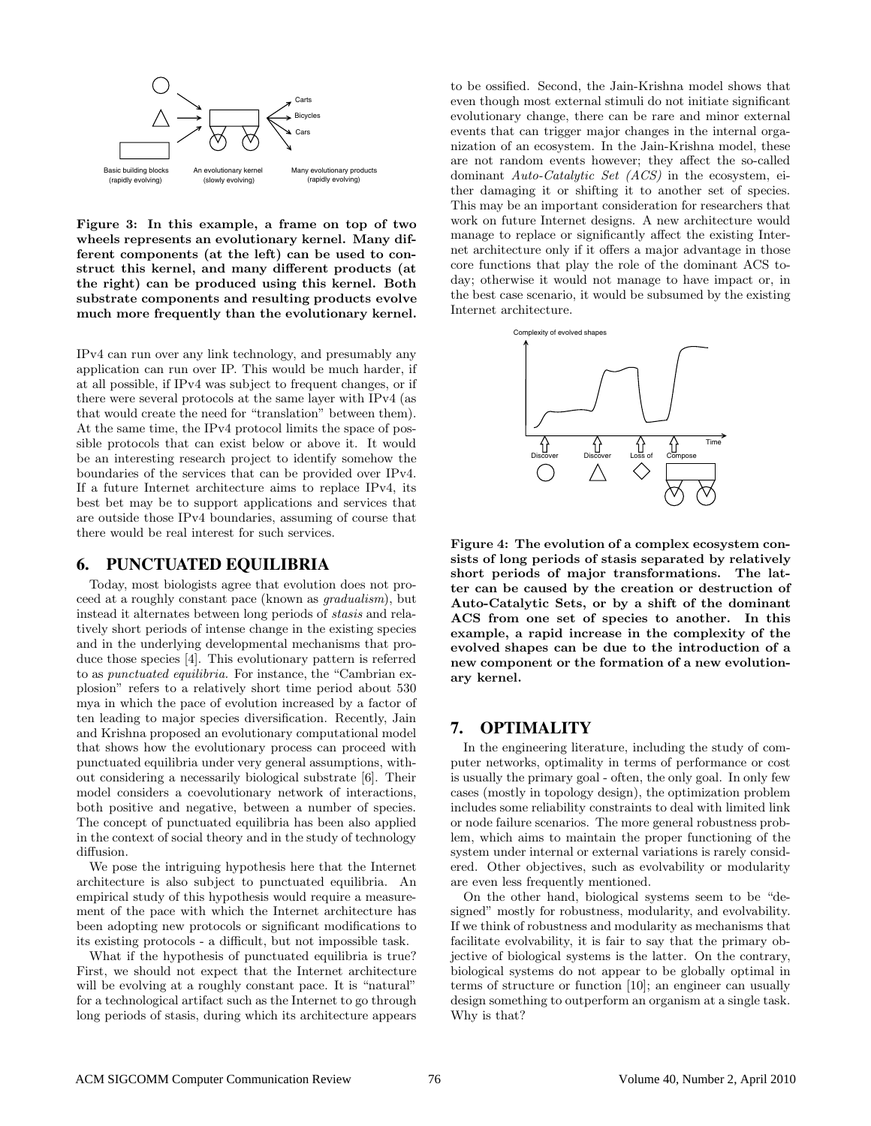

**Figure 3: In this example, a frame on top of two wheels represents an evolutionary kernel. Many different components (at the left) can be used to construct this kernel, and many different products (at the right) can be produced using this kernel. Both substrate components and resulting products evolve much more frequently than the evolutionary kernel.**

IPv4 can run over any link technology, and presumably any application can run over IP. This would be much harder, if at all possible, if IPv4 was subject to frequent changes, or if there were several protocols at the same layer with IPv4 (as that would create the need for "translation" between them). At the same time, the IPv4 protocol limits the space of possible protocols that can exist below or above it. It would be an interesting research project to identify somehow the boundaries of the services that can be provided over IPv4. If a future Internet architecture aims to replace IPv4, its best bet may be to support applications and services that are outside those IPv4 boundaries, assuming of course that there would be real interest for such services.

#### **6. PUNCTUATED EQUILIBRIA**

Today, most biologists agree that evolution does not proceed at a roughly constant pace (known as gradualism), but instead it alternates between long periods of stasis and relatively short periods of intense change in the existing species and in the underlying developmental mechanisms that produce those species [4]. This evolutionary pattern is referred to as punctuated equilibria. For instance, the "Cambrian explosion" refers to a relatively short time period about 530 mya in which the pace of evolution increased by a factor of ten leading to major species diversification. Recently, Jain and Krishna proposed an evolutionary computational model that shows how the evolutionary process can proceed with punctuated equilibria under very general assumptions, without considering a necessarily biological substrate [6]. Their model considers a coevolutionary network of interactions, both positive and negative, between a number of species. The concept of punctuated equilibria has been also applied in the context of social theory and in the study of technology diffusion.

We pose the intriguing hypothesis here that the Internet architecture is also subject to punctuated equilibria. An empirical study of this hypothesis would require a measurement of the pace with which the Internet architecture has been adopting new protocols or significant modifications to its existing protocols - a difficult, but not impossible task.

What if the hypothesis of punctuated equilibria is true? First, we should not expect that the Internet architecture will be evolving at a roughly constant pace. It is "natural" for a technological artifact such as the Internet to go through long periods of stasis, during which its architecture appears

to be ossified. Second, the Jain-Krishna model shows that even though most external stimuli do not initiate significant evolutionary change, there can be rare and minor external events that can trigger major changes in the internal organization of an ecosystem. In the Jain-Krishna model, these are not random events however; they affect the so-called dominant Auto-Catalytic Set (ACS) in the ecosystem, either damaging it or shifting it to another set of species. This may be an important consideration for researchers that work on future Internet designs. A new architecture would manage to replace or significantly affect the existing Internet architecture only if it offers a major advantage in those core functions that play the role of the dominant ACS today; otherwise it would not manage to have impact or, in the best case scenario, it would be subsumed by the existing Internet architecture.



**Figure 4: The evolution of a complex ecosystem consists of long periods of stasis separated by relatively short periods of major transformations. The latter can be caused by the creation or destruction of Auto-Catalytic Sets, or by a shift of the dominant ACS from one set of species to another. In this example, a rapid increase in the complexity of the evolved shapes can be due to the introduction of a new component or the formation of a new evolutionary kernel.**

# **7. OPTIMALITY**

In the engineering literature, including the study of computer networks, optimality in terms of performance or cost is usually the primary goal - often, the only goal. In only few cases (mostly in topology design), the optimization problem includes some reliability constraints to deal with limited link or node failure scenarios. The more general robustness problem, which aims to maintain the proper functioning of the system under internal or external variations is rarely considered. Other objectives, such as evolvability or modularity are even less frequently mentioned.

On the other hand, biological systems seem to be "designed" mostly for robustness, modularity, and evolvability. If we think of robustness and modularity as mechanisms that facilitate evolvability, it is fair to say that the primary objective of biological systems is the latter. On the contrary, biological systems do not appear to be globally optimal in terms of structure or function [10]; an engineer can usually design something to outperform an organism at a single task. Why is that?